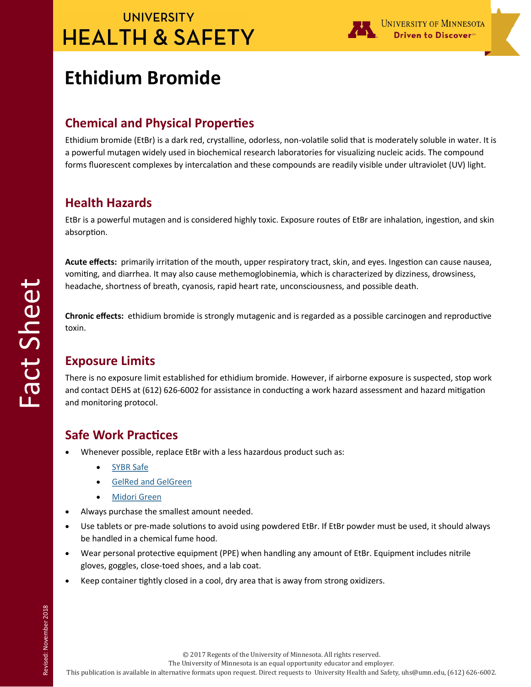# **UNIVERSITY HEALTH & SAFETY**



# **Ethidium Bromide**

## **Chemical and Physical Properties**

Ethidium bromide (EtBr) is a dark red, crystalline, odorless, non-volatile solid that is moderately soluble in water. It is a powerful mutagen widely used in biochemical research laboratories for visualizing nucleic acids. The compound forms fluorescent complexes by intercalation and these compounds are readily visible under ultraviolet (UV) light.

### **Health Hazards**

EtBr is a powerful mutagen and is considered highly toxic. Exposure routes of EtBr are inhalation, ingestion, and skin absorption.

**Acute effects:** primarily irritation of the mouth, upper respiratory tract, skin, and eyes. Ingestion can cause nausea, vomiting, and diarrhea. It may also cause methemoglobinemia, which is characterized by dizziness, drowsiness, headache, shortness of breath, cyanosis, rapid heart rate, unconsciousness, and possible death.

**Chronic effects:** ethidium bromide is strongly mutagenic and is regarded as a possible carcinogen and reproductive toxin.

# **Exposure Limits**

There is no exposure limit established for ethidium bromide. However, if airborne exposure is suspected, stop work and contact DEHS at (612) 626-6002 for assistance in conducting a work hazard assessment and hazard mitigation and monitoring protocol.

## **Safe Work Practices**

- Whenever possible, replace EtBr with a less hazardous product such as:
	- [SYBR Safe](https://www.thermofisher.com/us/en/home/life-science/dna-rna-purification-analysis/nucleic-acid-gel-electrophoresis/dna-stains/sybr-safe.html)
	- [GelRed and GelGreen](https://biotium.com/technology/nucleic-acid-gel-stains/gelred-gelgreen-dna-gel-stains/)
	- [Midori Green](http://www.bulldog-bio.com/midori_green.html)
- Always purchase the smallest amount needed.
- Use tablets or pre-made solutions to avoid using powdered EtBr. If EtBr powder must be used, it should always be handled in a chemical fume hood.
- Wear personal protective equipment (PPE) when handling any amount of EtBr. Equipment includes nitrile gloves, goggles, close-toed shoes, and a lab coat.
- Keep container tightly closed in a cool, dry area that is away from strong oxidizers.

© 2017 Regents of the University of Minnesota. All rights reserved.

The University of Minnesota is an equal opportunity educator and employer.

This publication is available in alternative formats upon request. Direct requests to University Health and Safety, uhs@umn.edu, (612) 626-6002.